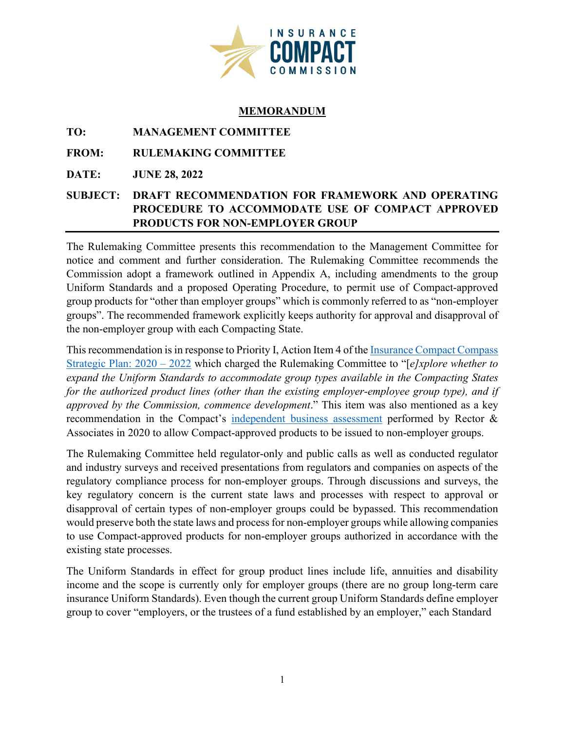

## **MEMORANDUM**

**TO: MANAGEMENT COMMITTEE**

**FROM: RULEMAKING COMMITTEE**

**DATE: JUNE 28, 2022** 

## **SUBJECT: DRAFT RECOMMENDATION FOR FRAMEWORK AND OPERATING PROCEDURE TO ACCOMMODATE USE OF COMPACT APPROVED PRODUCTS FOR NON-EMPLOYER GROUP**

The Rulemaking Committee presents this recommendation to the Management Committee for notice and comment and further consideration. The Rulemaking Committee recommends the Commission adopt a framework outlined in Appendix A, including amendments to the group Uniform Standards and a proposed Operating Procedure, to permit use of Compact-approved group products for "other than employer groups" which is commonly referred to as "non-employer groups". The recommended framework explicitly keeps authority for approval and disapproval of the non-employer group with each Compacting State.

This recommendation is in response to Priority I, Action Item 4 of the Insurance Compact Compass [Strategic Plan: 2020 – 2022](https://www.insurancecompact.org/sites/default/files/documents/strategic_plan_compact_compass.pdf) which charged the Rulemaking Committee to "[*e]xplore whether to expand the Uniform Standards to accommodate group types available in the Compacting States for the authorized product lines (other than the existing employer-employee group type), and if approved by the Commission, commence development*." This item was also mentioned as a key recommendation in the Compact's [independent business assessment](https://www.insurancecompact.org/sites/default/files/documents/Synopsis-Business%20Assessment%20R%26A.pdf) performed by Rector & Associates in 2020 to allow Compact-approved products to be issued to non-employer groups.

The Rulemaking Committee held regulator-only and public calls as well as conducted regulator and industry surveys and received presentations from regulators and companies on aspects of the regulatory compliance process for non-employer groups. Through discussions and surveys, the key regulatory concern is the current state laws and processes with respect to approval or disapproval of certain types of non-employer groups could be bypassed. This recommendation would preserve both the state laws and process for non-employer groups while allowing companies to use Compact-approved products for non-employer groups authorized in accordance with the existing state processes.

The Uniform Standards in effect for group product lines include life, annuities and disability income and the scope is currently only for employer groups (there are no group long-term care insurance Uniform Standards). Even though the current group Uniform Standards define employer group to cover "employers, or the trustees of a fund established by an employer," each Standard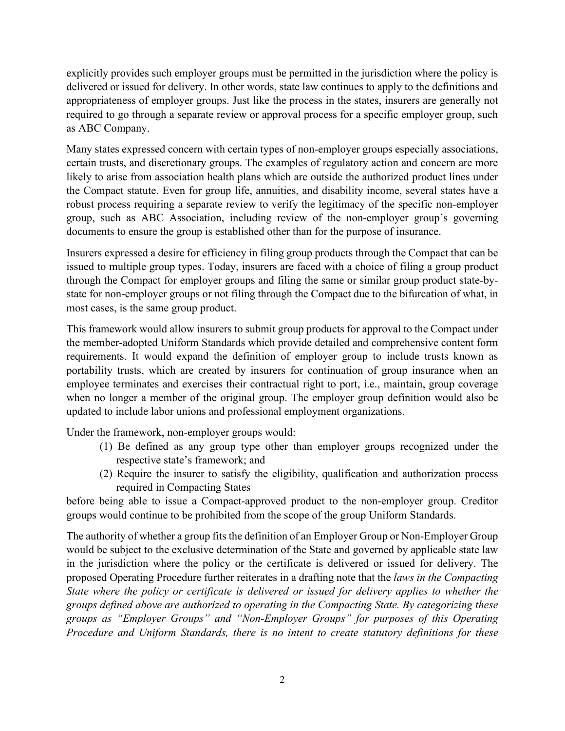explicitly provides such employer groups must be permitted in the jurisdiction where the policy is delivered or issued for delivery. In other words, state law continues to apply to the definitions and appropriateness of employer groups. Just like the process in the states, insurers are generally not required to go through a separate review or approval process for a specific employer group, such as ABC Company.

Many states expressed concern with certain types of non-employer groups especially associations, certain trusts, and discretionary groups. The examples of regulatory action and concern are more likely to arise from association health plans which are outside the authorized product lines under the Compact statute. Even for group life, annuities, and disability income, several states have a robust process requiring a separate review to verify the legitimacy of the specific non-employer group, such as ABC Association, including review of the non-employer group's governing documents to ensure the group is established other than for the purpose of insurance.

Insurers expressed a desire for efficiency in filing group products through the Compact that can be issued to multiple group types. Today, insurers are faced with a choice of filing a group product through the Compact for employer groups and filing the same or similar group product state-bystate for non-employer groups or not filing through the Compact due to the bifurcation of what, in most cases, is the same group product.

This framework would allow insurers to submit group products for approval to the Compact under the member-adopted Uniform Standards which provide detailed and comprehensive content form requirements. It would expand the definition of employer group to include trusts known as portability trusts, which are created by insurers for continuation of group insurance when an employee terminates and exercises their contractual right to port, i.e., maintain, group coverage when no longer a member of the original group. The employer group definition would also be updated to include labor unions and professional employment organizations.

Under the framework, non-employer groups would:

- (1) Be defined as any group type other than employer groups recognized under the respective state's framework; and
- (2) Require the insurer to satisfy the eligibility, qualification and authorization process required in Compacting States

before being able to issue a Compact-approved product to the non-employer group. Creditor groups would continue to be prohibited from the scope of the group Uniform Standards.

The authority of whether a group fits the definition of an Employer Group or Non-Employer Group would be subject to the exclusive determination of the State and governed by applicable state law in the jurisdiction where the policy or the certificate is delivered or issued for delivery. The proposed Operating Procedure further reiterates in a drafting note that the *laws in the Compacting State where the policy or certificate is delivered or issued for delivery applies to whether the groups defined above are authorized to operating in the Compacting State. By categorizing these groups as "Employer Groups" and "Non-Employer Groups" for purposes of this Operating Procedure and Uniform Standards, there is no intent to create statutory definitions for these*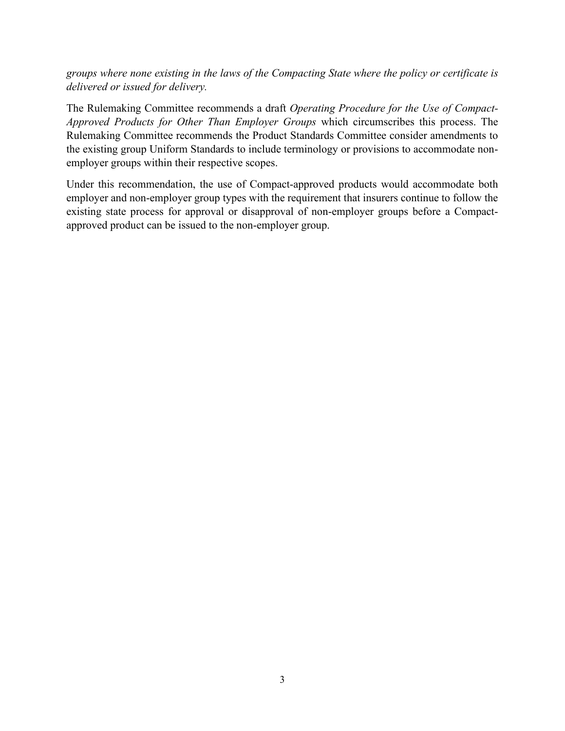*groups where none existing in the laws of the Compacting State where the policy or certificate is delivered or issued for delivery.* 

The Rulemaking Committee recommends a draft *Operating Procedure for the Use of Compact-Approved Products for Other Than Employer Groups* which circumscribes this process. The Rulemaking Committee recommends the Product Standards Committee consider amendments to the existing group Uniform Standards to include terminology or provisions to accommodate nonemployer groups within their respective scopes.

Under this recommendation, the use of Compact-approved products would accommodate both employer and non-employer group types with the requirement that insurers continue to follow the existing state process for approval or disapproval of non-employer groups before a Compactapproved product can be issued to the non-employer group.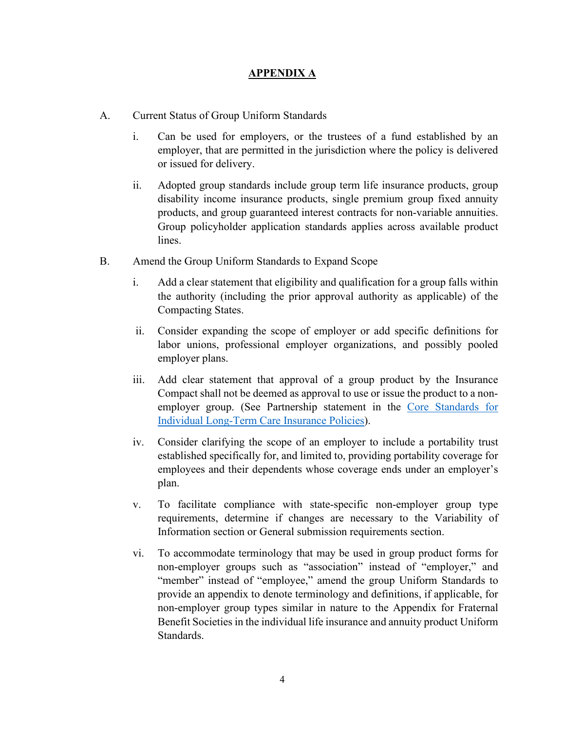## **APPENDIX A**

- A. Current Status of Group Uniform Standards
	- i. Can be used for employers, or the trustees of a fund established by an employer, that are permitted in the jurisdiction where the policy is delivered or issued for delivery.
	- ii. Adopted group standards include group term life insurance products, group disability income insurance products, single premium group fixed annuity products, and group guaranteed interest contracts for non-variable annuities. Group policyholder application standards applies across available product lines.
- B. Amend the Group Uniform Standards to Expand Scope
	- i. Add a clear statement that eligibility and qualification for a group falls within the authority (including the prior approval authority as applicable) of the Compacting States.
	- ii. Consider expanding the scope of employer or add specific definitions for labor unions, professional employer organizations, and possibly pooled employer plans.
	- iii. Add clear statement that approval of a group product by the Insurance Compact shall not be deemed as approval to use or issue the product to a nonemployer group. (See Partnership statement in the [Core Standards for](https://www.insurancecompact.org/documents/standards_ltc_i_3_core.pdf)  [Individual Long-Term Care Insurance Policies\)](https://www.insurancecompact.org/documents/standards_ltc_i_3_core.pdf).
	- iv. Consider clarifying the scope of an employer to include a portability trust established specifically for, and limited to, providing portability coverage for employees and their dependents whose coverage ends under an employer's plan.
	- v. To facilitate compliance with state-specific non-employer group type requirements, determine if changes are necessary to the Variability of Information section or General submission requirements section.
	- vi. To accommodate terminology that may be used in group product forms for non-employer groups such as "association" instead of "employer," and "member" instead of "employee," amend the group Uniform Standards to provide an appendix to denote terminology and definitions, if applicable, for non-employer group types similar in nature to the Appendix for Fraternal Benefit Societies in the individual life insurance and annuity product Uniform Standards.